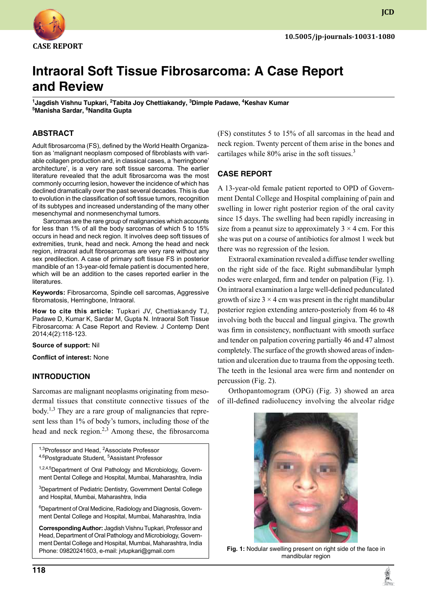

**JCD**

# **Intraoral Soft Tissue Fibrosarcoma: A Case Report and Review**

<sup>1</sup>Jagdish Vishnu Tupkari, <sup>2</sup>Tabita Joy Chettiakandy, <sup>3</sup>Dimple Padawe, <sup>4</sup>Keshav Kumar <sup>5</sup>Manisha Sardar, <sup>6</sup>Nandita Gupta

### **ABSTRACT**

Adult fibrosarcoma (FS), defined by the World Health Organization as 'malignant neoplasm composed of fibroblasts with variable collagen production and, in classical cases, a 'herringbone' architecture', is a very rare soft tissue sarcoma. The earlier literature revealed that the adult fibrosarcoma was the most commonly occurring lesion, however the incidence of which has declined dramatically over the past several decades. This is due to evolution in the classification of soft tissue tumors, recognition of its subtypes and increased understanding of the many other mesenchymal and nonmesenchymal tumors.

Sarcomas are the rare group of malignancies which accounts for less than 1% of all the body sarcomas of which 5 to 15% occurs in head and neck region. It involves deep soft tissues of extremities, trunk, head and neck. Among the head and neck region, intraoral adult fibrosarcomas are very rare without any sex predilection. A case of primary soft tissue FS in posterior mandible of an 13-year-old female patient is documented here, which will be an addition to the cases reported earlier in the literatures.

**Keywords:** Fibrosarcoma, Spindle cell sarcomas, Aggressive fibromatosis, Herringbone, Intraoral.

**How to cite this article:** Tupkari JV, Chettiakandy TJ, Padawe D, Kumar K, Sardar M, Gupta N. Intraoral Soft Tissue Fibrosarcoma: A Case Report and Review. J Contemp Dent 2014;4(2):118-123.

**Source of support:** Nil

**Conflict of interest:** None

#### **Introduction**

Sarcomas are malignant neoplasms originating from mesodermal tissues that constitute connective tissues of the body.<sup>1,3</sup> They are a rare group of malignancies that represent less than 1% of body's tumors, including those of the head and neck region. $2,3$  Among these, the fibrosarcoma

<sup>1,3</sup>Professor and Head, <sup>2</sup>Associate Professor <sup>4,6</sup>Postgraduate Student, <sup>5</sup>Assistant Professor

1,2,4,5 Department of Oral Pathology and Microbiology, Government Dental College and Hospital, Mumbai, Maharashtra, India

<sup>3</sup>Department of Pediatric Dentistry, Government Dental College and Hospital, Mumbai, Maharashtra, India

6 Department of Oral Medicine, Radiology and Diagnosis, Government Dental College and Hospital, Mumbai, Maharashtra, India

**Corresponding Author:** Jagdish Vishnu Tupkari, Professor and Head, Department of Oral Pathology and Microbiology, Government Dental College and Hospital, Mumbai, Maharashtra, India Phone: 09820241603, e-mail: jvtupkari@gmail.com

(FS) constitutes 5 to 15% of all sarcomas in the head and neck region. Twenty percent of them arise in the bones and cartilages while  $80\%$  arise in the soft tissues.<sup>3</sup>

### **Case report**

A 13-year-old female patient reported to OPD of Government Dental College and Hospital complaining of pain and swelling in lower right posterior region of the oral cavity since 15 days. The swelling had been rapidly increasing in size from a peanut size to approximately  $3 \times 4$  cm. For this she was put on a course of antibiotics for almost 1 week but there was no regression of the lesion.

Extraoral examination revealed a diffuse tender swelling on the right side of the face. Right submandibular lymph nodes were enlarged, firm and tender on palpation (Fig. 1). On intraoral examination a large well-defined pedunculated growth of size  $3 \times 4$  cm was present in the right mandibular posterior region extending antero-posterioly from 46 to 48 involving both the buccal and lingual gingiva. The growth was firm in consistency, nonfluctuant with smooth surface and tender on palpation covering partially 46 and 47 almost completely. The surface of the growth showed areas of indentation and ulceration due to trauma from the opposing teeth. The teeth in the lesional area were firm and nontender on percussion (Fig. 2).

Orthopantomogram (OPG) (Fig. 3) showed an area of ill-defined radiolucency involving the alveolar ridge



**Fig. 1:** Nodular swelling present on right side of the face in mandibular region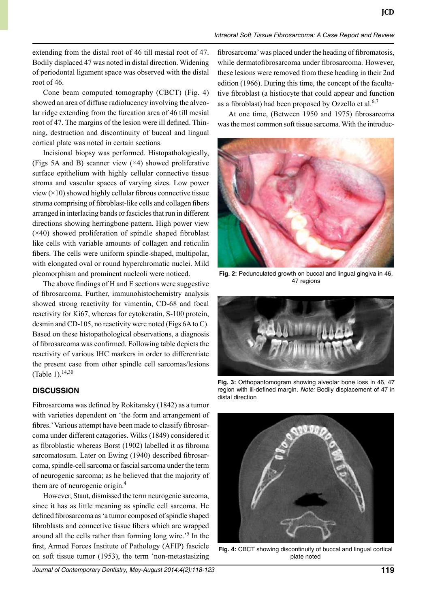extending from the distal root of 46 till mesial root of 47. Bodily displaced 47 was noted in distal direction. Widening of periodontal ligament space was observed with the distal root of 46.

Cone beam computed tomography (CBCT) (Fig. 4) showed an area of diffuse radiolucency involving the alveolar ridge extending from the furcation area of 46 till mesial root of 47. The margins of the lesion were ill defined. Thinning, destruction and discontinuity of buccal and lingual cortical plate was noted in certain sections.

Incisional biopsy was performed. Histopathologically, (Figs 5A and B) scanner view  $(\times 4)$  showed proliferative surface epithelium with highly cellular connective tissue stroma and vascular spaces of varying sizes. Low power view  $(\times 10)$  showed highly cellular fibrous connective tissue stroma comprising of fibroblast-like cells and collagen fibers arranged in interlacing bands or fascicles that run in different directions showing herringbone pattern. High power view  $(x40)$  showed proliferation of spindle shaped fibroblast like cells with variable amounts of collagen and reticulin fibers. The cells were uniform spindle-shaped, multipolar, with elongated oval or round hyperchromatic nuclei. Mild pleomorphism and prominent nucleoli were noticed.

The above findings of H and E sections were suggestive of fibrosarcoma. Further, immunohistochemistry analysis showed strong reactivity for vimentin, CD-68 and focal reactivity for Ki67, whereas for cytokeratin, S-100 protein, desmin and CD-105, no reactivity were noted (Figs 6A to C). Based on these histopathological observations, a diagnosis of fibrosarcoma was confirmed. Following table depicts the reactivity of various IHC markers in order to differentiate the present case from other spindle cell sarcomas/lesions (Table 1).<sup>14,30</sup>

# **Discussion**

Fibrosarcoma was defined by Rokitansky (1842) as a tumor with varieties dependent on 'the form and arrangement of fibres.' Various attempt have been made to classify fibrosarcoma under different catagories. Wilks (1849) considered it as fibroblastic whereas Borst (1902) labelled it as fibroma sarcomatosum. Later on Ewing (1940) described fibrosarcoma, spindle-cell sarcoma or fascial sarcoma under the term of neurogenic sarcoma; as he believed that the majority of them are of neurogenic origin.<sup>4</sup>

However, Staut, dismissed the term neurogenic sarcoma, since it has as little meaning as spindle cell sarcoma. He defined fibrosarcoma as 'a tumor composed of spindle shaped fibroblasts and connective tissue fibers which are wrapped around all the cells rather than forming long wire.'5 In the first, Armed Forces Institute of Pathology (AFIP) fascicle on soft tissue tumor (1953), the term 'non-metastasizing

fibrosarcoma' was placed under the heading of fibromatosis, while dermatofibrosarcoma under fibrosarcoma. However, these lesions were removed from these heading in their 2nd edition (1966). During this time, the concept of the facultative fibroblast (a histiocyte that could appear and function as a fibroblast) had been proposed by Ozzello et al. $6,7$ 

At one time, (Between 1950 and 1975) fibrosarcoma was the most common soft tissue sarcoma. With the introduc-



**Fig. 2:** Pedunculated growth on buccal and lingual gingiva in 46, 47 regions



**Fig. 3:** Orthopantomogram showing alveolar bone loss in 46, 47 region with ill-defined margin. Note: Bodily displacement of 47 in distal direction



**Fig. 4:** CBCT showing discontinuity of buccal and lingual cortical plate noted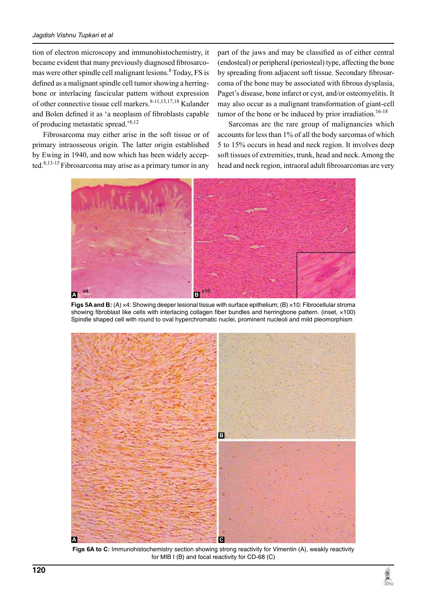tion of electron microscopy and immunohistochemistry, it became evident that many previously diagnosed fibrosarcomas were other spindle cell malignant lesions. <sup>8</sup> Today, FS is defined as a malignant spindle cell tumor showing a herringbone or interlacing fascicular pattern without expression of other connective tissue cell markers.<sup>8-11,13,17,18</sup> Kulander and Bolen defined it as 'a neoplasm of fibroblasts capable of producing metastatic spread.'8,12

Fibrosarcoma may either arise in the soft tissue or of primary intraosseous origin. The latter origin established by Ewing in 1940, and now which has been widely accepted.<sup>8,13-15</sup> Fibrosarcoma may arise as a primary tumor in any

part of the jaws and may be classified as of either central (endosteal) or peripheral (periosteal) type, affecting the bone by spreading from adjacent soft tissue. Secondary fibrosarcoma of the bone may be associated with fibrous dysplasia, Paget's disease, bone infarct or cyst, and/or osteomyelitis. It may also occur as a malignant transformation of giant-cell tumor of the bone or be induced by prior irradiation.<sup>16-18</sup>

Sarcomas are the rare group of malignancies which accounts for less than 1% of all the body sarcomas of which 5 to 15% occurs in head and neck region. It involves deep soft tissues of extremities, trunk, head and neck. Among the head and neck region, intraoral adult fibrosarcomas are very



**Figs 5A and B:** (A) ×4: Showing deeper lesional tissue with surface epithelium; (B) ×10: Fibrocellular stroma showing fibroblast like cells with interlacing collagen fiber bundles and herringbone pattern. (inset, x100) Spindle shaped cell with round to oval hyperchromatic nuclei, prominent nucleoli and mild pleomorphism



**Figs 6A to C:** Immunohistochemistry section showing strong reactivity for Vimentin (A), weakly reactivity for MIB  $I$  (B) and focal reactivity for CD-68 (C)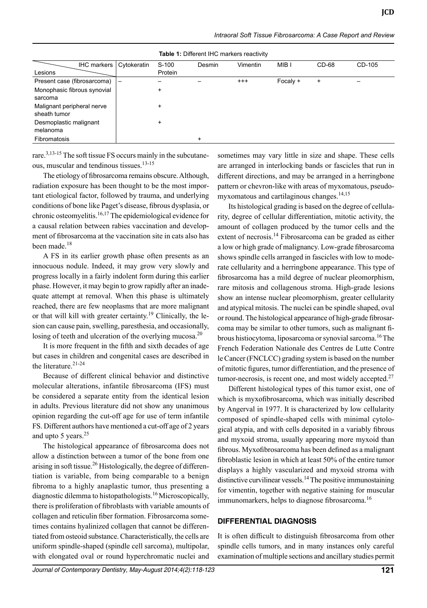| Intraoral Soft Tissue Fibrosarcoma: A Case Report and Review |  |  |  |
|--------------------------------------------------------------|--|--|--|
|--------------------------------------------------------------|--|--|--|

| <b>Table 1: Different IHC markers reactivity</b> |                   |         |           |                 |          |           |        |  |
|--------------------------------------------------|-------------------|---------|-----------|-----------------|----------|-----------|--------|--|
| <b>IHC markers</b>                               | Cytokeratin       | $S-100$ | Desmin    | <b>Vimentin</b> | MIB I    | $CD-68$   | CD-105 |  |
| Lesions                                          |                   | Protein |           |                 |          |           |        |  |
| Present case (fibrosarcoma)                      | $\qquad \qquad -$ |         |           | $^{+++}$        | Focaly + | $\ddot{}$ |        |  |
| Monophasic fibrous synovial<br>sarcoma           |                   | +       |           |                 |          |           |        |  |
| Malignant peripheral nerve<br>sheath tumor       |                   | +       |           |                 |          |           |        |  |
| Desmoplastic malignant<br>melanoma               |                   | +       |           |                 |          |           |        |  |
| <b>Fibromatosis</b>                              |                   |         | $\ddot{}$ |                 |          |           |        |  |

rare.<sup>3,13-15</sup> The soft tissue FS occurs mainly in the subcutaneous, muscular and tendinous tissues.<sup>13-15</sup>

The etiology of fibrosarcoma remains obscure. Although, radiation exposure has been thought to be the most important etiological factor, followed by trauma, and underlying conditions of bone like Paget's disease, fibrous dysplasia, or chronic osteomyelitis.16,17 The epidemiological evidence for a causal relation between rabies vaccination and development of fibrosarcoma at the vaccination site in cats also has been made.<sup>18</sup>

A Fs in its earlier growth phase often presents as an innocuous nodule. Indeed, it may grow very slowly and progress locally in a fairly indolent form during this earlier phase. However, it may begin to grow rapidly after an inadequate attempt at removal. When this phase is ultimately reached, there are few neoplasms that are more malignant or that will kill with greater certainty.<sup>19</sup> Clinically, the lesion can cause pain, swelling, paresthesia, and occasionally, losing of teeth and ulceration of the overlying mucosa.<sup>20</sup>

It is more frequent in the fifth and sixth decades of age but cases in children and congenital cases are described in the literature.21-24

Because of different clinical behavior and distinctive molecular alterations, infantile fibrosarcoma (IFS) must be considered a separate entity from the identical lesion in adults. Previous literature did not show any unanimous opinion regarding the cut-off age for use of term infantile FS. Different authors have mentioned a cut-off age of 2 years and upto 5 years.<sup>25</sup>

The histological appearance of fibrosarcoma does not allow a distinction between a tumor of the bone from one arising in soft tissue.<sup>26</sup> Histologically, the degree of differentiation is variable, from being comparable to a benign fibroma to a highly anaplastic tumor, thus presenting a diagnostic dilemma to histopathologists.16 Microscopically, there is proliferation of fibroblasts with variable amounts of collagen and reticulin fiber formation. Fibrosarcoma sometimes contains hyalinized collagen that cannot be differentiated from osteoid substance. Characteristically, the cells are uniform spindle-shaped (spindle cell sarcoma), multipolar, with elongated oval or round hyperchromatic nuclei and

sometimes may vary little in size and shape. These cells are arranged in interlocking bands or fascicles that run in different directions, and may be arranged in a herringbone pattern or chevron-like with areas of myxomatous, pseudomyxomatous and cartilaginous changes.<sup>14,15</sup>

Its histological grading is based on the degree of cellularity, degree of cellular differentiation, mitotic activity, the amount of collagen produced by the tumor cells and the extent of necrosis.<sup>14</sup> Fibrosarcoma can be graded as either a low or high grade of malignancy. Low-grade fibrosarcoma shows spindle cells arranged in fascicles with low to moderate cellularity and a herringbone appearance. This type of fibrosarcoma has a mild degree of nuclear pleomorphism, rare mitosis and collagenous stroma. High-grade lesions show an intense nuclear pleomorphism, greater cellularity and atypical mitosis. The nuclei can be spindle shaped, oval or round. The histological appearance of high-grade fibrosarcoma may be similar to other tumors, such as malignant fibrous histiocytoma, liposarcoma or synovial sarcoma.<sup>16</sup> The French Federation Nationale des Centres de Lutte Contre le Cancer (FNCLCC) grading system is based on the number of mitotic figures, tumor differentiation, and the presence of tumor-necrosis, is recent one, and most widely accepted. $27$ 

Different histological types of this tumor exist, one of which is myxofibrosarcoma, which was initially described by Angerval in 1977. It is characterized by low cellularity composed of spindle-shaped cells with minimal cytological atypia, and with cells deposited in a variably fibrous and myxoid stroma, usually appearing more myxoid than fibrous. Myxofibrosarcoma has been defined as a malignant fibroblastic lesion in which at least 50% of the entire tumor displays a highly vascularized and myxoid stroma with distinctive curvilinear vessels.<sup>14</sup> The positive immunostaining for vimentin, together with negative staining for muscular immunomarkers, helps to diagnose fibrosarcoma.<sup>16</sup>

#### **Differential diagnosis**

It is often difficult to distinguish fibrosarcoma from other spindle cells tumors, and in many instances only careful examination of multiple sections and ancillary studies permit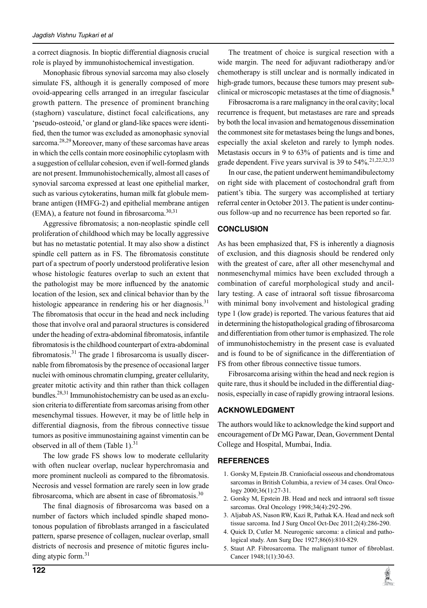a correct diagnosis. In bioptic differential diagnosis crucial role is played by immunohistochemical investigation.

Monophasic fibrous synovial sarcoma may also closely simulate FS, although it is generally composed of more ovoid-appearing cells arranged in an irregular fascicular growth pattern. The presence of prominent branching (staghorn) vasculature, distinct focal calcifications, any 'pseudo-osteoid,' or gland or gland-like spaces were identified, then the tumor was excluded as amonophasic synovial sarcoma.<sup>28,29</sup> Moreover, many of these sarcomas have areas in which the cells contain more eosinophilic cytoplasm with a suggestion of cellular cohesion, even if well-formed glands are not present. Immunohistochemically, almost all cases of synovial sarcoma expressed at least one epithelial marker, such as various cytokeratins, human milk fat globule membrane antigen (HMFG-2) and epithelial membrane antigen (EMA), a feature not found in fibrosarcoma.<sup>30,31</sup>

Aggressive fibromatosis; a non-neoplastic spindle cell proliferation of childhood which may be locally aggressive but has no metastatic potential. It may also show a distinct spindle cell pattern as in FS. The fibromatosis constitute part of a spectrum of poorly understood proliferative lesion whose histologic features overlap to such an extent that the pathologist may be more influenced by the anatomic location of the lesion, sex and clinical behavior than by the histologic appearance in rendering his or her diagnosis.<sup>31</sup> The fibromatosis that occur in the head and neck including those that involve oral and paraoral structures is considered under the heading of extra-abdominal fibromatosis, infantile fibromatosis is the childhood counterpart of extra-abdominal fibromatosis.<sup>31</sup> The grade 1 fibrosarcoma is usually discernable from fibromatosis by the presence of occasional larger nuclei with ominous chromatin clumping, greater cellularity, greater mitotic activity and thin rather than thick collagen bundles.28,31 Immunohistochemistry can be used as an exclusion criteria to differentiate from sarcomas arising from other mesenchymal tissues. However, it may be of little help in differential diagnosis, from the fibrous connective tissue tumors as positive immunostaining against vimentin can be observed in all of them (Table 1). $31$ 

The low grade FS shows low to moderate cellularity with often nuclear overlap, nuclear hyperchromasia and more prominent nucleoli as compared to the fibromatosis. Necrosis and vessel formation are rarely seen in low grade fibrosarcoma, which are absent in case of fibromatosis.<sup>30</sup>

The final diagnosis of fibrosarcoma was based on a number of factors which included spindle shaped monotonous population of fibroblasts arranged in a fasciculated pattern, sparse presence of collagen, nuclear overlap, small districts of necrosis and presence of mitotic figures including atypic form.<sup>31</sup>

The treatment of choice is surgical resection with a wide margin. The need for adjuvant radiotherapy and/or chemotherapy is still unclear and is normally indicated in high-grade tumors, because these tumors may present subclinical or microscopic metastases at the time of diagnosis.<sup>8</sup>

Fibrosacroma is a rare malignancy in the oral cavity; local recurrence is frequent, but metastases are rare and spreads by both the local invasion and hematogenous dissemination the commonest site for metastases being the lungs and bones, especially the axial skeleton and rarely to lymph nodes. Metastasis occurs in 9 to 63% of patients and is time and grade dependent. Five years survival is 39 to 54%.<sup>21,22,32,33</sup>

In our case, the patient underwent hemimandibulectomy on right side with placement of costochondral graft from patient's tibia. The surgery was accomplished at tertiary referral center in October 2013. The patient is under continuous follow-up and no recurrence has been reported so far.

# **Conclusion**

As has been emphasized that, FS is inherently a diagnosis of exclusion, and this diagnosis should be rendered only with the greatest of care, after all other mesenchymal and nonmesenchymal mimics have been excluded through a combination of careful morphological study and ancillary testing. A case of intraoral soft tissue fibrosarcoma with minimal bony involvement and histological grading type 1 (low grade) is reported. The various features that aid in determining the histopathological grading of fibrosarcoma and differentiation from other tumor is emphasized. The role of immunohistochemistry in the present case is evaluated and is found to be of significance in the differentiation of FS from other fibrous connective tissue tumors.

Fibrosarcoma arising within the head and neck region is quite rare, thus it should be included in the differential diagnosis, especially in case of rapidly growing intraoral lesions.

#### **Acknowledgment**

The authors would like to acknowledge the kind support and encouragement of Dr MG Pawar, Dean, Government Dental College and Hospital, Mumbai, India.

#### **References**

- 1. Gorsky M, Epstein JB. Craniofacial osseous and chondromatous sarcomas in British Columbia, a review of 34 cases. Oral Oncology 2000;36(1):27-31.
- 2. Gorsky M, Epstein JB. Head and neck and intraoral soft tissue sarcomas. Oral Oncology 1998;34(4):292-296.
- 3. Aljabab AS, Nason RW, Kazi R, Pathak KA. Head and neck soft tissue sarcoma. Ind J Surg Oncol Oct-Dec 2011;2(4):286-290.
- 4. Quick D, Cutler M. Neurogenic sarcoma: a clinical and pathological study. Ann Surg Dec 1927;86(6):810-829.
- 5. Staut AP. Fibrosarcoma. The malignant tumor of fibroblast. Cancer 1948;1(1):30-63.